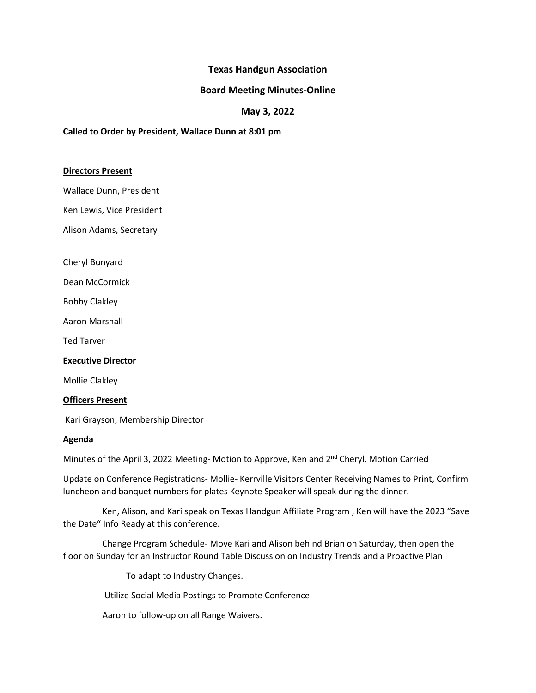# **Texas Handgun Association**

### **Board Meeting Minutes-Online**

## **May 3, 2022**

### **Called to Order by President, Wallace Dunn at 8:01 pm**

#### **Directors Present**

Wallace Dunn, President

Ken Lewis, Vice President

Alison Adams, Secretary

Cheryl Bunyard

Dean McCormick

Bobby Clakley

Aaron Marshall

Ted Tarver

#### **Executive Director**

Mollie Clakley

#### **Officers Present**

Kari Grayson, Membership Director

#### **Agenda**

Minutes of the April 3, 2022 Meeting- Motion to Approve, Ken and 2<sup>nd</sup> Cheryl. Motion Carried

Update on Conference Registrations- Mollie- Kerrville Visitors Center Receiving Names to Print, Confirm luncheon and banquet numbers for plates Keynote Speaker will speak during the dinner.

 Ken, Alison, and Kari speak on Texas Handgun Affiliate Program , Ken will have the 2023 "Save the Date" Info Ready at this conference.

 Change Program Schedule- Move Kari and Alison behind Brian on Saturday, then open the floor on Sunday for an Instructor Round Table Discussion on Industry Trends and a Proactive Plan

To adapt to Industry Changes.

Utilize Social Media Postings to Promote Conference

Aaron to follow-up on all Range Waivers.